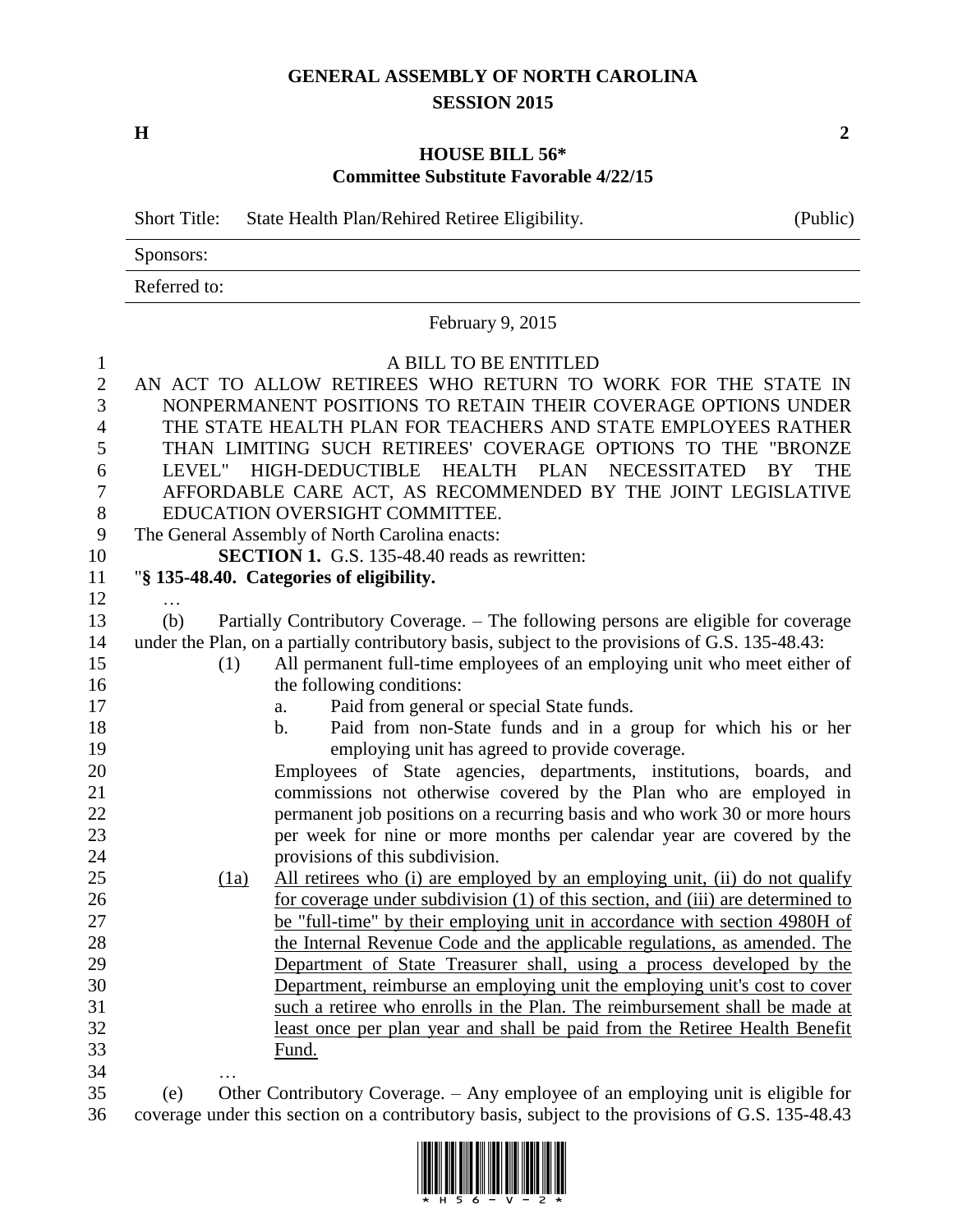## **GENERAL ASSEMBLY OF NORTH CAROLINA SESSION 2015**

**H 2**

## **HOUSE BILL 56\* Committee Substitute Favorable 4/22/15**

|              | <b>Short Title:</b>            | State Health Plan/Rehired Retiree Eligibility.                                                  | (Public)         |
|--------------|--------------------------------|-------------------------------------------------------------------------------------------------|------------------|
|              | Sponsors:                      |                                                                                                 |                  |
|              | Referred to:                   |                                                                                                 |                  |
|              |                                | February 9, 2015                                                                                |                  |
| $\mathbf{1}$ |                                | A BILL TO BE ENTITLED                                                                           |                  |
| $\mathbf{2}$ |                                | AN ACT TO ALLOW RETIREES WHO RETURN TO WORK FOR THE STATE IN                                    |                  |
| 3            |                                | NONPERMANENT POSITIONS TO RETAIN THEIR COVERAGE OPTIONS UNDER                                   |                  |
| 4            |                                | THE STATE HEALTH PLAN FOR TEACHERS AND STATE EMPLOYEES RATHER                                   |                  |
| 5            |                                | THAN LIMITING SUCH RETIREES' COVERAGE OPTIONS TO THE "BRONZE                                    |                  |
| 6            |                                | LEVEL" HIGH-DEDUCTIBLE HEALTH PLAN NECESSITATED                                                 | BY<br><b>THE</b> |
| 7            |                                | AFFORDABLE CARE ACT, AS RECOMMENDED BY THE JOINT LEGISLATIVE                                    |                  |
| $8\,$        | EDUCATION OVERSIGHT COMMITTEE. |                                                                                                 |                  |
| 9            |                                | The General Assembly of North Carolina enacts:                                                  |                  |
| 10           |                                | <b>SECTION 1.</b> G.S. 135-48.40 reads as rewritten:                                            |                  |
| 11           |                                | "§ 135-48.40. Categories of eligibility.                                                        |                  |
| 12           | .                              |                                                                                                 |                  |
| 13           | (b)                            | Partially Contributory Coverage. – The following persons are eligible for coverage              |                  |
| 14           |                                | under the Plan, on a partially contributory basis, subject to the provisions of G.S. 135-48.43: |                  |
| 15           | (1)                            | All permanent full-time employees of an employing unit who meet either of                       |                  |
| 16           |                                | the following conditions:                                                                       |                  |
| 17           |                                | Paid from general or special State funds.<br>a.                                                 |                  |
| 18           |                                | Paid from non-State funds and in a group for which his or her<br>$\mathbf b$ .                  |                  |
| 19           |                                | employing unit has agreed to provide coverage.                                                  |                  |
| 20           |                                | Employees of State agencies, departments, institutions, boards, and                             |                  |
| 21           |                                | commissions not otherwise covered by the Plan who are employed in                               |                  |
| 22           |                                | permanent job positions on a recurring basis and who work 30 or more hours                      |                  |
| 23           |                                | per week for nine or more months per calendar year are covered by the                           |                  |
| 24           |                                | provisions of this subdivision.                                                                 |                  |
| 25           | (1a)                           | All retirees who (i) are employed by an employing unit, (ii) do not qualify                     |                  |
| 26           |                                | for coverage under subdivision (1) of this section, and (iii) are determined to                 |                  |
| 27           |                                | be "full-time" by their employing unit in accordance with section 4980H of                      |                  |
| 28           |                                | the Internal Revenue Code and the applicable regulations, as amended. The                       |                  |
| 29           |                                | Department of State Treasurer shall, using a process developed by the                           |                  |
| 30           |                                | Department, reimburse an employing unit the employing unit's cost to cover                      |                  |
| 31           |                                | such a retiree who enrolls in the Plan. The reimbursement shall be made at                      |                  |
| 32           |                                | least once per plan year and shall be paid from the Retiree Health Benefit                      |                  |
| 33           |                                | Fund.                                                                                           |                  |
| 34           |                                |                                                                                                 |                  |

 (e) Other Contributory Coverage. – Any employee of an employing unit is eligible for coverage under this section on a contributory basis, subject to the provisions of G.S. 135-48.43